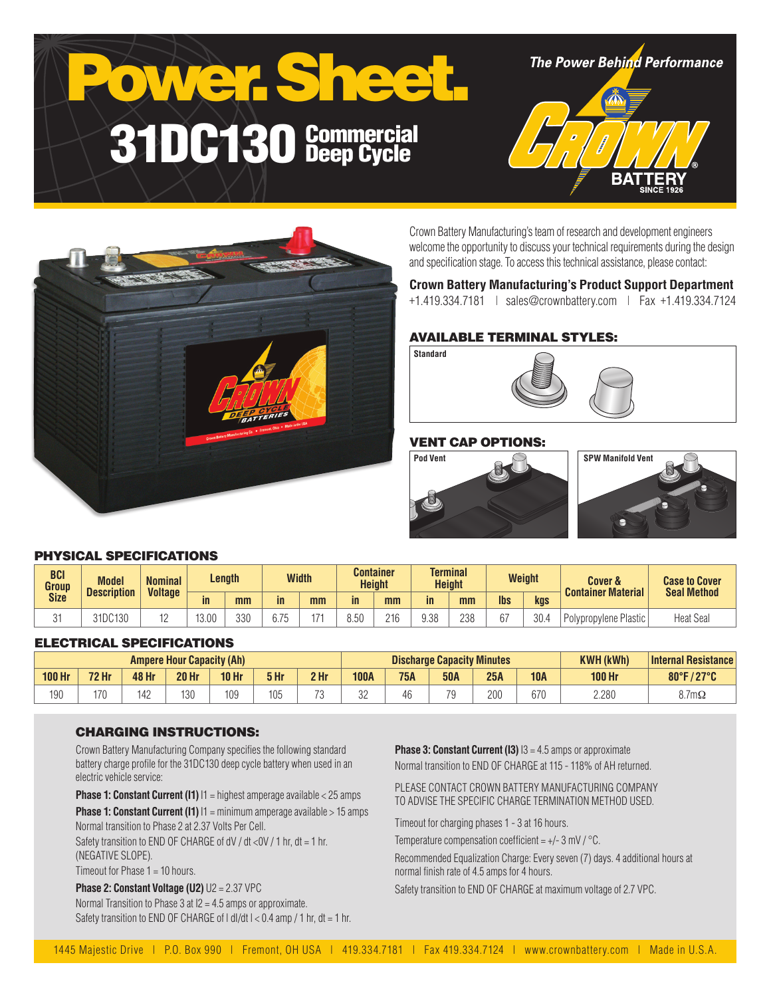# Power. Sheet. 31DC130 Commercial Deep Cycle

**The Power Behind Performance** 





Crown Battery Manufacturing's team of research and development engineers welcome the opportunity to discuss your technical requirements during the design and specification stage. To access this technical assistance, please contact:

#### **Crown Battery Manufacturing's Product Support Department**

+1.419.334.7181 | sales@crownbattery.com | Fax +1.419.334.7124

#### AVAILABLE TERMINAL STYLES:

**Standard**



#### VENT CAP OPTIONS:





#### PHYSICAL SPECIFICATIONS

| <b>BCI</b><br>Group<br><b>Size</b> | <b>Model</b><br><b>Description</b> | <b>Nominal</b><br><b>Voltage</b> | Length |     | <b>Width</b> |     |      | Container<br><b>Height</b> |      | <b>Terminal</b><br><b>Height</b> |            | Weight | <b>Cover &amp;</b><br><b>Container Material</b> | <b>Case to Cover</b><br><b>Seal Method</b> |
|------------------------------------|------------------------------------|----------------------------------|--------|-----|--------------|-----|------|----------------------------|------|----------------------------------|------------|--------|-------------------------------------------------|--------------------------------------------|
|                                    |                                    |                                  | in     | mm  | in           | mm  | in   | mm                         | in   | mm                               | <b>lbs</b> | kgs    |                                                 |                                            |
| $\sim$                             | 31DC130                            | . .                              | 13.00  | 330 | 6.75         | 171 | 3.50 | 216                        | 9.38 | 238                              | $\sim$     | 30.4   | Polypropylene Plastic                           | <b>Heat Seal</b>                           |

#### ELECTRICAL SPECIFICATIONS

| <b>Ampere Hour Capacity (Ah)</b> |              |       |              |                 |      | <b>Discharge Capacity Minutes</b> |              |            |            |     | <b>KWH (kWh)</b> | <b>Internal Resistance</b> |              |
|----------------------------------|--------------|-------|--------------|-----------------|------|-----------------------------------|--------------|------------|------------|-----|------------------|----------------------------|--------------|
| <b>100 Hr</b>                    | <b>72 Hr</b> | 48 Hr | <b>20 Hr</b> | <b>10 Hr</b>    | 5 Hr | 2 <sub>hr</sub>                   | <b>100A</b>  | <b>75A</b> | <b>50A</b> | 25A | <b>10A</b>       | <b>100 Hr</b>              | 80°F/27°C    |
| 190                              | 170          | 142   | 130          | 10 <sup>c</sup> | 105  | 70<br>U                           | $\sim$<br>◡▵ | 46         | 70<br>ັ    | 200 | 670              | 2.280                      | $8.7m\Omega$ |

#### CHARGING INSTRUCTIONS:

Crown Battery Manufacturing Company specifies the following standard battery charge profile for the 31DC130 deep cycle battery when used in an electric vehicle service:

**Phase 1: Constant Current (I1)**  $11$  = highest amperage available < 25 amps

**Phase 1: Constant Current (I1)**  $11 = \text{minimum}$  amperage available > 15 amps Normal transition to Phase 2 at 2.37 Volts Per Cell.

Safety transition to END OF CHARGE of dV / dt <0V / 1 hr, dt = 1 hr, (NEGATIVE SLOPE).

Timeout for Phase 1 = 10 hours.

**Phase 2: Constant Voltage (U2)** U2 = 2.37 VPC Normal Transition to Phase 3 at I2 = 4.5 amps or approximate. Safety transition to END OF CHARGE of  $| d|/dt$   $| < 0.4$  amp  $/ 1$  hr,  $dt = 1$  hr. **Phase 3: Constant Current (I3)**  $13 = 4.5$  amps or approximate Normal transition to END OF CHARGE at 115 - 118% of AH returned.

PLEASE CONTACT CROWN BATTERY MANUFACTURING COMPANY TO ADVISE THE SPECIFIC CHARGE TERMINATION METHOD USED.

Timeout for charging phases 1 - 3 at 16 hours.

Temperature compensation coefficient =  $+/- 3$  mV  $/$  °C.

Recommended Equalization Charge: Every seven (7) days. 4 additional hours at normal finish rate of 4.5 amps for 4 hours.

Safety transition to END OF CHARGE at maximum voltage of 2.7 VPC.